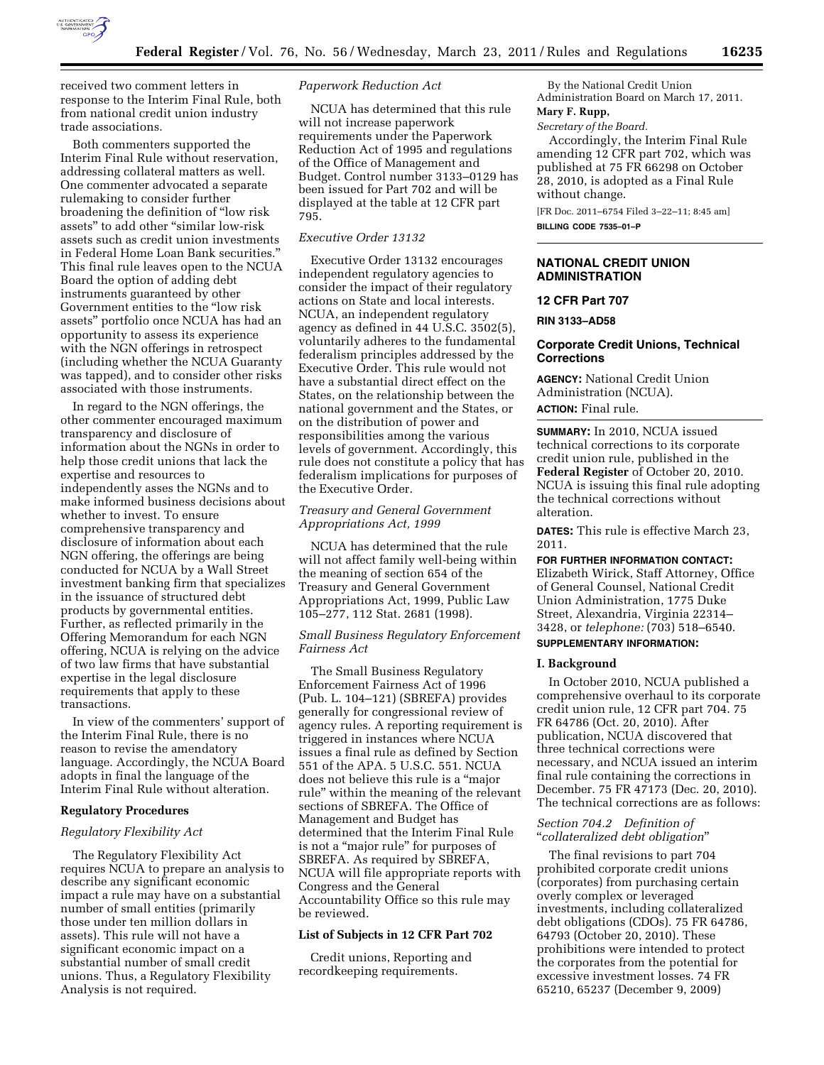

received two comment letters in response to the Interim Final Rule, both from national credit union industry trade associations.

Both commenters supported the Interim Final Rule without reservation, addressing collateral matters as well. One commenter advocated a separate rulemaking to consider further broadening the definition of ''low risk assets'' to add other ''similar low-risk assets such as credit union investments in Federal Home Loan Bank securities.'' This final rule leaves open to the NCUA Board the option of adding debt instruments guaranteed by other Government entities to the ''low risk assets'' portfolio once NCUA has had an opportunity to assess its experience with the NGN offerings in retrospect (including whether the NCUA Guaranty was tapped), and to consider other risks associated with those instruments.

In regard to the NGN offerings, the other commenter encouraged maximum transparency and disclosure of information about the NGNs in order to help those credit unions that lack the expertise and resources to independently asses the NGNs and to make informed business decisions about whether to invest. To ensure comprehensive transparency and disclosure of information about each NGN offering, the offerings are being conducted for NCUA by a Wall Street investment banking firm that specializes in the issuance of structured debt products by governmental entities. Further, as reflected primarily in the Offering Memorandum for each NGN offering, NCUA is relying on the advice of two law firms that have substantial expertise in the legal disclosure requirements that apply to these transactions.

In view of the commenters' support of the Interim Final Rule, there is no reason to revise the amendatory language. Accordingly, the NCUA Board adopts in final the language of the Interim Final Rule without alteration.

#### **Regulatory Procedures**

#### *Regulatory Flexibility Act*

The Regulatory Flexibility Act requires NCUA to prepare an analysis to describe any significant economic impact a rule may have on a substantial number of small entities (primarily those under ten million dollars in assets). This rule will not have a significant economic impact on a substantial number of small credit unions. Thus, a Regulatory Flexibility Analysis is not required.

## *Paperwork Reduction Act*

NCUA has determined that this rule will not increase paperwork requirements under the Paperwork Reduction Act of 1995 and regulations of the Office of Management and Budget. Control number 3133–0129 has been issued for Part 702 and will be displayed at the table at 12 CFR part 795.

### *Executive Order 13132*

Executive Order 13132 encourages independent regulatory agencies to consider the impact of their regulatory actions on State and local interests. NCUA, an independent regulatory agency as defined in 44 U.S.C. 3502(5), voluntarily adheres to the fundamental federalism principles addressed by the Executive Order. This rule would not have a substantial direct effect on the States, on the relationship between the national government and the States, or on the distribution of power and responsibilities among the various levels of government. Accordingly, this rule does not constitute a policy that has federalism implications for purposes of the Executive Order.

## *Treasury and General Government Appropriations Act, 1999*

NCUA has determined that the rule will not affect family well-being within the meaning of section 654 of the Treasury and General Government Appropriations Act, 1999, Public Law 105–277, 112 Stat. 2681 (1998).

#### *Small Business Regulatory Enforcement Fairness Act*

The Small Business Regulatory Enforcement Fairness Act of 1996 (Pub. L. 104–121) (SBREFA) provides generally for congressional review of agency rules. A reporting requirement is triggered in instances where NCUA issues a final rule as defined by Section 551 of the APA. 5 U.S.C. 551. NCUA does not believe this rule is a ''major rule'' within the meaning of the relevant sections of SBREFA. The Office of Management and Budget has determined that the Interim Final Rule is not a ''major rule'' for purposes of SBREFA. As required by SBREFA, NCUA will file appropriate reports with Congress and the General Accountability Office so this rule may be reviewed.

#### **List of Subjects in 12 CFR Part 702**

Credit unions, Reporting and recordkeeping requirements.

By the National Credit Union Administration Board on March 17, 2011.

# **Mary F. Rupp,**

*Secretary of the Board.*  Accordingly, the Interim Final Rule amending 12 CFR part 702, which was published at 75 FR 66298 on October 28, 2010, is adopted as a Final Rule

without change. [FR Doc. 2011–6754 Filed 3–22–11; 8:45 am]

**BILLING CODE 7535–01–P** 

## **NATIONAL CREDIT UNION ADMINISTRATION**

## **12 CFR Part 707**

**RIN 3133–AD58** 

### **Corporate Credit Unions, Technical Corrections**

**AGENCY:** National Credit Union Administration (NCUA). **ACTION:** Final rule.

**SUMMARY:** In 2010, NCUA issued technical corrections to its corporate credit union rule, published in the **Federal Register** of October 20, 2010. NCUA is issuing this final rule adopting the technical corrections without alteration.

**DATES:** This rule is effective March 23, 2011.

**FOR FURTHER INFORMATION CONTACT:**  Elizabeth Wirick, Staff Attorney, Office of General Counsel, National Credit Union Administration, 1775 Duke Street, Alexandria, Virginia 22314– 3428, or *telephone:* (703) 518–6540.

## **SUPPLEMENTARY INFORMATION:**

## **I. Background**

In October 2010, NCUA published a comprehensive overhaul to its corporate credit union rule, 12 CFR part 704. 75 FR 64786 (Oct. 20, 2010). After publication, NCUA discovered that three technical corrections were necessary, and NCUA issued an interim final rule containing the corrections in December. 75 FR 47173 (Dec. 20, 2010). The technical corrections are as follows:

## *Section 704.2 Definition of*  ''*collateralized debt obligation*''

The final revisions to part 704 prohibited corporate credit unions (corporates) from purchasing certain overly complex or leveraged investments, including collateralized debt obligations (CDOs). 75 FR 64786, 64793 (October 20, 2010). These prohibitions were intended to protect the corporates from the potential for excessive investment losses. 74 FR 65210, 65237 (December 9, 2009)